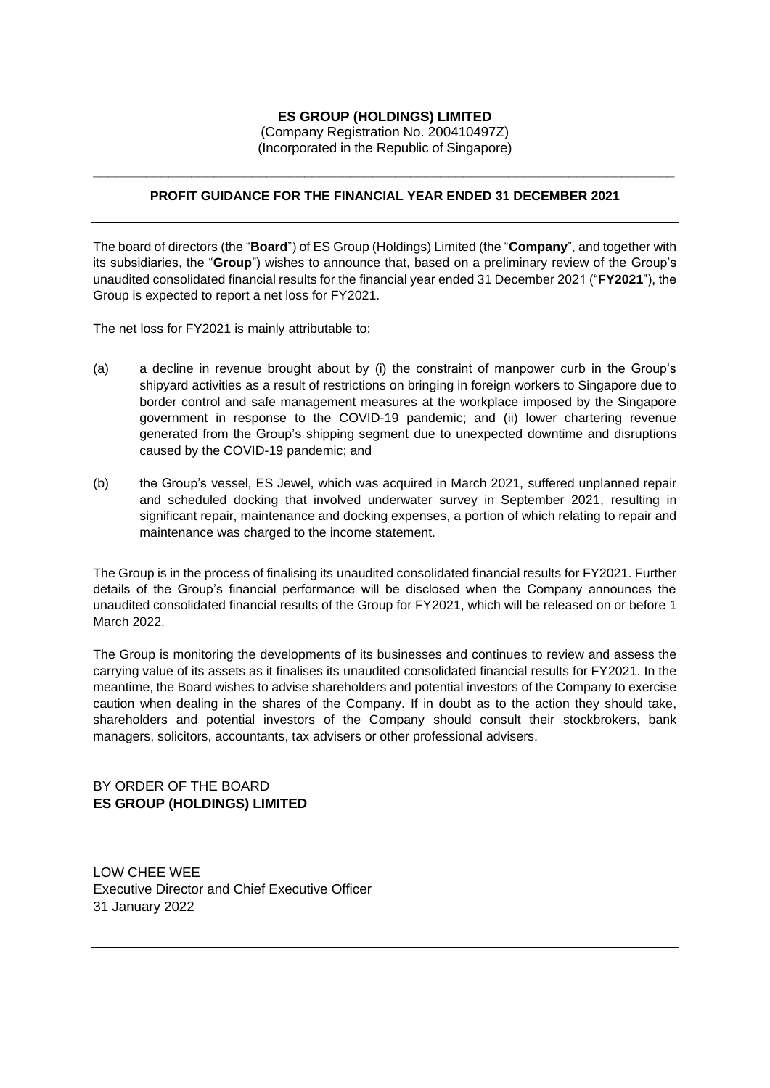## **ES GROUP (HOLDINGS) LIMITED** (Company Registration No. 200410497Z) (Incorporated in the Republic of Singapore)

## **\_\_\_\_\_\_\_\_\_\_\_\_\_\_\_\_\_\_\_\_\_\_\_\_\_\_\_\_\_\_\_\_\_\_\_\_\_\_\_\_\_\_\_\_\_\_\_\_\_\_\_\_\_\_\_\_\_\_\_\_\_\_\_\_\_\_\_\_\_\_\_\_\_\_\_\_\_ PROFIT GUIDANCE FOR THE FINANCIAL YEAR ENDED 31 DECEMBER 2021**

The board of directors (the "**Board**") of ES Group (Holdings) Limited (the "**Company**", and together with its subsidiaries, the "**Group**") wishes to announce that, based on a preliminary review of the Group's unaudited consolidated financial results for the financial year ended 31 December 2021 ("**FY2021**"), the Group is expected to report a net loss for FY2021.

The net loss for FY2021 is mainly attributable to:

- (a) a decline in revenue brought about by (i) the constraint of manpower curb in the Group's shipyard activities as a result of restrictions on bringing in foreign workers to Singapore due to border control and safe management measures at the workplace imposed by the Singapore government in response to the COVID-19 pandemic; and (ii) lower chartering revenue generated from the Group's shipping segment due to unexpected downtime and disruptions caused by the COVID-19 pandemic; and
- (b) the Group's vessel, ES Jewel, which was acquired in March 2021, suffered unplanned repair and scheduled docking that involved underwater survey in September 2021, resulting in significant repair, maintenance and docking expenses, a portion of which relating to repair and maintenance was charged to the income statement.

The Group is in the process of finalising its unaudited consolidated financial results for FY2021. Further details of the Group's financial performance will be disclosed when the Company announces the unaudited consolidated financial results of the Group for FY2021, which will be released on or before 1 March 2022.

The Group is monitoring the developments of its businesses and continues to review and assess the carrying value of its assets as it finalises its unaudited consolidated financial results for FY2021. In the meantime, the Board wishes to advise shareholders and potential investors of the Company to exercise caution when dealing in the shares of the Company. If in doubt as to the action they should take, shareholders and potential investors of the Company should consult their stockbrokers, bank managers, solicitors, accountants, tax advisers or other professional advisers.

## BY ORDER OF THE BOARD **ES GROUP (HOLDINGS) LIMITED**

LOW CHEE WEE Executive Director and Chief Executive Officer 31 January 2022